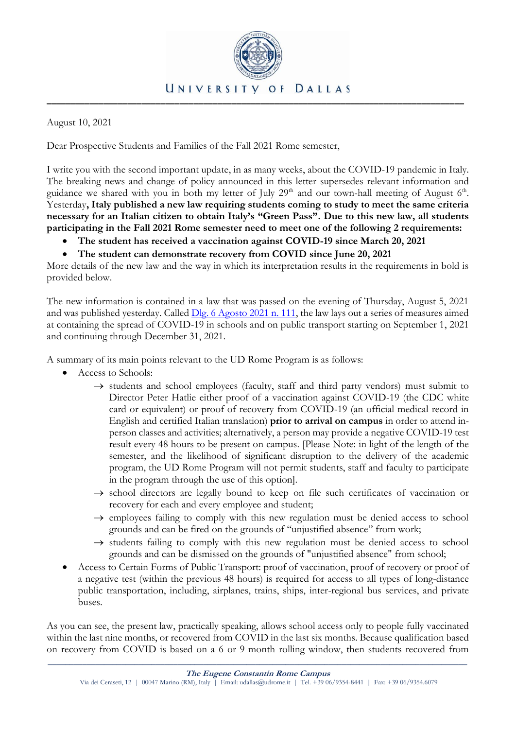

August 10, 2021

Dear Prospective Students and Families of the Fall 2021 Rome semester,

I write you with the second important update, in as many weeks, about the COVID-19 pandemic in Italy. The breaking news and change of policy announced in this letter supersedes relevant information and guidance we shared with you in both my letter of July  $29<sup>th</sup>$  and our town-hall meeting of August  $6<sup>th</sup>$ . Yesterday**, Italy published a new law requiring students coming to study to meet the same criteria necessary for an Italian citizen to obtain Italy's "Green Pass". Due to this new law, all students participating in the Fall 2021 Rome semester need to meet one of the following 2 requirements:** 

- **The student has received a vaccination against COVID-19 since March 20, 2021**
- **The student can demonstrate recovery from COVID since June 20, 2021**

More details of the new law and the way in which its interpretation results in the requirements in bold is provided below.

The new information is contained in a law that was passed on the evening of Thursday, August 5, 2021 and was published yesterday. Called [Dlg. 6 Agosto 2021 n. 111,](http://www.infoparlamento.it/tematiche/normativa-nazionale/decretolegge-6-agosto-2021-n-111-green-pass) the law lays out a series of measures aimed at containing the spread of COVID-19 in schools and on public transport starting on September 1, 2021 and continuing through December 31, 2021.

A summary of its main points relevant to the UD Rome Program is as follows:

- Access to Schools:
	- $\rightarrow$  students and school employees (faculty, staff and third party vendors) must submit to Director Peter Hatlie either proof of a vaccination against COVID-19 (the CDC white card or equivalent) or proof of recovery from COVID-19 (an official medical record in English and certified Italian translation) **prior to arrival on campus** in order to attend inperson classes and activities; alternatively, a person may provide a negative COVID-19 test result every 48 hours to be present on campus. [Please Note: in light of the length of the semester, and the likelihood of significant disruption to the delivery of the academic program, the UD Rome Program will not permit students, staff and faculty to participate in the program through the use of this option].
	- $\rightarrow$  school directors are legally bound to keep on file such certificates of vaccination or recovery for each and every employee and student;
	- $\rightarrow$  employees failing to comply with this new regulation must be denied access to school grounds and can be fired on the grounds of "unjustified absence" from work;
	- $\rightarrow$  students failing to comply with this new regulation must be denied access to school grounds and can be dismissed on the grounds of "unjustified absence" from school;
- Access to Certain Forms of Public Transport: proof of vaccination, proof of recovery or proof of a negative test (within the previous 48 hours) is required for access to all types of long-distance public transportation, including, airplanes, trains, ships, inter-regional bus services, and private buses.

As you can see, the present law, practically speaking, allows school access only to people fully vaccinated within the last nine months, or recovered from COVID in the last six months. Because qualification based on recovery from COVID is based on a 6 or 9 month rolling window, then students recovered from